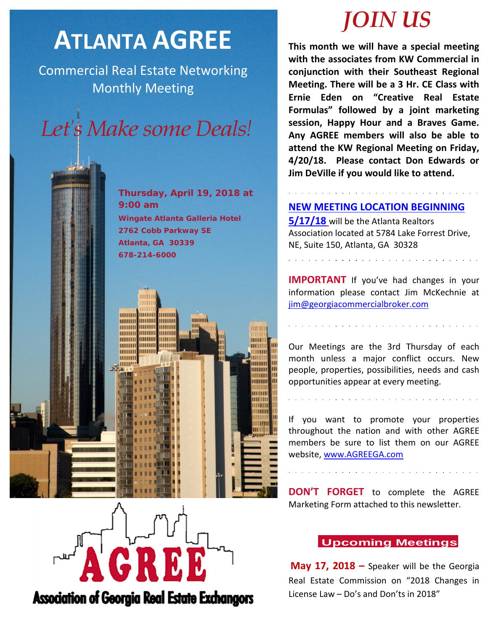## **ATLANTA AGREE**

Commercial Real Estate Networking Monthly Meeting

# Let's Make some Deals!

**Thursday, April 19, 2018 at 9:00 am Wingate Atlanta Galleria Hotel 2762 Cobb Parkway SE Atlanta, GA 30339 678-214-6000**



## *JOIN US*

**This month we will have a special meeting with the associates from KW Commercial in conjunction with their Southeast Regional Meeting. There will be a 3 Hr. CE Class with Ernie Eden on "Creative Real Estate Formulas" followed by a joint marketing session, Happy Hour and a Braves Game. Any AGREE members will also be able to attend the KW Regional Meeting on Friday, 4/20/18. Please contact Don Edwards or Jim DeVille if you would like to attend.**

## **NEW MEETING LOCATION BEGINNING**

**5/17/18** will be the Atlanta Realtors Association located at 5784 Lake Forrest Drive, NE, Suite 150, Atlanta, GA 30328

<u>and a straightful and a straight and</u>

**IMPORTANT** If you've had changes in your information please contact Jim McKechnie at [jim@georgiacommercialbroker.com](mailto:jim@georgiacommercialbroker.com?subject=Changes%20to%20My%20Account)

Our Meetings are the 3rd Thursday of each month unless a major conflict occurs. New people, properties, possibilities, needs and cash opportunities appear at every meeting.

If you want to promote your properties throughout the nation and with other AGREE members be sure to list them on our AGREE website, www.AGREEGA.com

**DON'T FORGET** to complete the AGREE Marketing Form attached to this newsletter.

## **Upcoming Meetings**

**May 17, 2018 –** Speaker will be the Georgia Real Estate Commission on "2018 Changes in License Law – Do's and Don'ts in 2018"

**Association of Georgia Real Estate Exchangors**